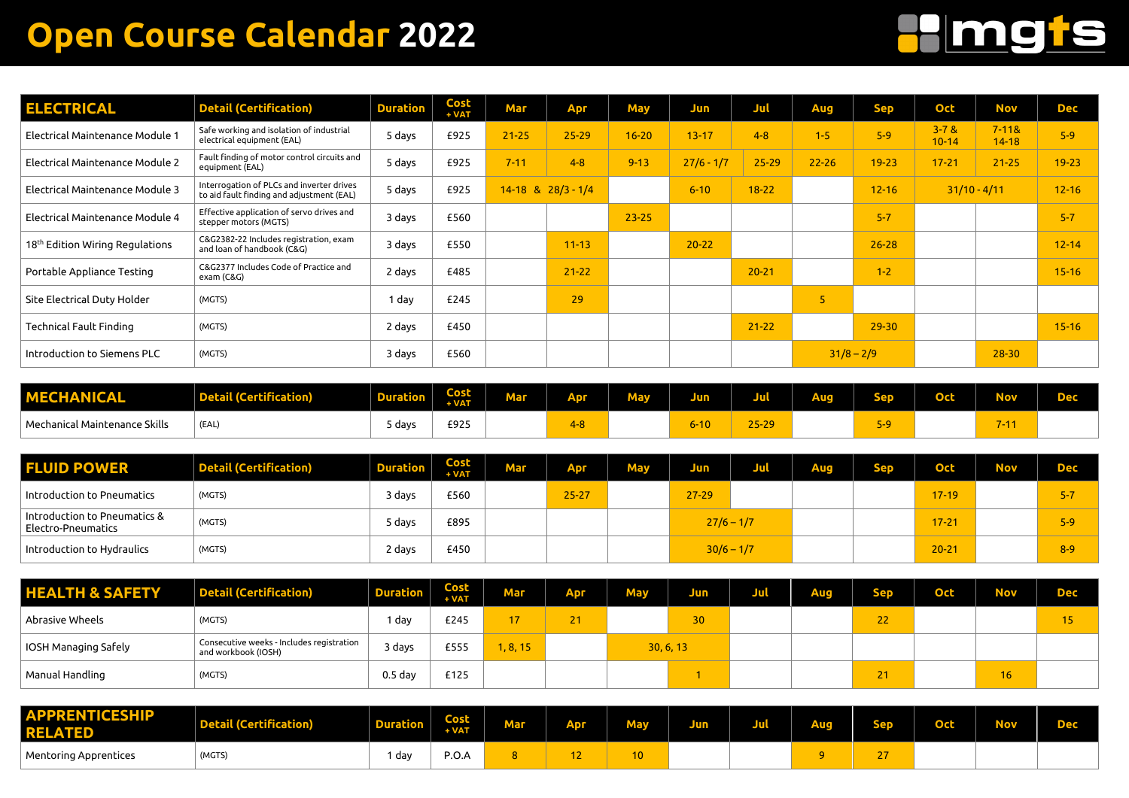## **Open Course Calendar 2022**

| <b>ELECTRICAL</b>                           | <b>Detail (Certification)</b>                                                          | <b>Duration</b> | <b>Cost</b><br>+ VAT | <b>Mar</b> | Apr                    | May       | Jun          | Jul       | Aug       | <b>Sep</b>   | Oct                    | <b>Nov</b>             | <b>Dec</b> |
|---------------------------------------------|----------------------------------------------------------------------------------------|-----------------|----------------------|------------|------------------------|-----------|--------------|-----------|-----------|--------------|------------------------|------------------------|------------|
| Electrical Maintenance Module 1             | Safe working and isolation of industrial<br>electrical equipment (EAL)                 | 5 days          | £925                 | $21 - 25$  | $25 - 29$              | $16 - 20$ | $13 - 17$    | $4 - 8$   | $1 - 5$   | $5-9$        | $3 - 7 &$<br>$10 - 14$ | $7 - 118$<br>$14 - 18$ | $5-9$      |
| Electrical Maintenance Module 2             | Fault finding of motor control circuits and<br>equipment (EAL)                         | 5 days          | £925                 | $7 - 11$   | $4 - 8$                | $9 - 13$  | $27/6 - 1/7$ | $25 - 29$ | $22 - 26$ | $19 - 23$    | $17 - 21$              | $21 - 25$              | $19 - 23$  |
| Electrical Maintenance Module 3             | Interrogation of PLCs and inverter drives<br>to aid fault finding and adjustment (EAL) | 5 days          | £925                 |            | $14-18$ & $28/3 - 1/4$ |           | $6 - 10$     | $18-22$   |           | $12 - 16$    | $31/10 - 4/11$         |                        | $12 - 16$  |
| Electrical Maintenance Module 4             | Effective application of servo drives and<br>stepper motors (MGTS)                     | 3 days          | £560                 |            |                        | $23 - 25$ |              |           |           | $5 - 7$      |                        |                        | $5 - 7$    |
| 18 <sup>th</sup> Edition Wiring Regulations | C&G2382-22 Includes registration, exam<br>and loan of handbook (C&G)                   | 3 days          | £550                 |            | $11 - 13$              |           | $20 - 22$    |           |           | $26 - 28$    |                        |                        | $12 - 14$  |
| Portable Appliance Testing                  | C&G2377 Includes Code of Practice and<br>exam (C&G)                                    | 2 days          | £485                 |            | $21 - 22$              |           |              | $20 - 21$ |           | $1 - 2$      |                        |                        | $15 - 16$  |
| Site Electrical Duty Holder                 | (MGTS)                                                                                 | 1 day           | £245                 |            | 29                     |           |              |           | 5         |              |                        |                        |            |
| <b>Technical Fault Finding</b>              | (MGTS)                                                                                 | 2 days          | £450                 |            |                        |           |              | $21 - 22$ |           | $29 - 30$    |                        |                        | $15 - 16$  |
| Introduction to Siemens PLC                 | (MGTS)                                                                                 | 3 days          | £560                 |            |                        |           |              |           |           | $31/8 - 2/9$ |                        | $28 - 30$              |            |

| <b>MECHANICAL</b>                    | <b>Detail (Certification)</b> | <b>Second Contract Designation</b> | Cost<br>+ VAT | <b>Mar</b> | Anr     | Mav<br>мот | Jun      | JUL       | <b>Aug</b> | Sep | Oct | Nov                        | $\sim$ |
|--------------------------------------|-------------------------------|------------------------------------|---------------|------------|---------|------------|----------|-----------|------------|-----|-----|----------------------------|--------|
| $\mid$ Mechanical Maintenance Skills | (EAL,                         | − days د                           | £925          |            | $4 - 8$ |            | $6 - 10$ | $25 - 29$ |            | -9  |     | <b>The State of Street</b> |        |

| <b>FLUID POWER</b>                                 | <b>Detail (Certification)</b> | <b>Duration</b> | <b>Cost</b><br>$+ VAT$ | Mar | Арг       | May | Jun 7        | <u>Jul</u> | Aug | <b>Sep</b> | <b>Oct</b> | <b>Nov</b> | <b>Dec</b> |
|----------------------------------------------------|-------------------------------|-----------------|------------------------|-----|-----------|-----|--------------|------------|-----|------------|------------|------------|------------|
| Introduction to Pneumatics                         | (MGTS)                        | 3 days          | £560                   |     | $25 - 27$ |     | $27 - 29$    |            |     |            | $17-19$    |            | $5 - 7$    |
| Introduction to Pneumatics &<br>Electro-Pneumatics | (MGTS)                        | 5 days          | £895                   |     |           |     | $27/6 - 1/7$ |            |     |            | $17 - 21$  |            | $5-9$      |
| Introduction to Hydraulics                         | (MGTS)                        | 2 days          | £450                   |     |           |     | $30/6 - 1/7$ |            |     |            | $20 - 21$  |            | $8 - 9$    |

| <b>HEALTH &amp; SAFETY</b> | <b>Detail (Certification)</b>                                    | <b>Duration</b> | <b>Cost</b><br>+ VAT | Mar      | <b>Apr</b> | <b>May</b> | <b>Juny</b>     | Jul | <b>Aug</b> | <b>Sep</b> | <b>Oct</b> | <b>Nov</b> | <b>Dec</b> |
|----------------------------|------------------------------------------------------------------|-----------------|----------------------|----------|------------|------------|-----------------|-----|------------|------------|------------|------------|------------|
| Abrasive Wheels            | (MGTS)                                                           | . day           | £245                 | 17       | 21         |            | 30 <sup>1</sup> |     |            | 22         |            |            | 15         |
| IOSH Managing Safely       | Consecutive weeks - Includes registration<br>and workbook (IOSH) | 3 days          | £555                 | , 8, 15/ |            |            | 30, 6, 13       |     |            |            |            |            |            |
| Manual Handling            | (MGTS)                                                           | $0.5$ day       | £125                 |          |            |            |                 |     |            | 21         |            | 16         |            |

| <b>APPRENTICESHIP</b><br><b>RELATED</b> | <b>Detail (Certification)</b> | <b>dration</b> | Cost<br>+ VAT | <b>Mar</b> | Apr | <b>May</b>      | Jun | Jul | <b>Aug</b> | <b>Sep</b> | Oct | <b>Nov</b> | <b>Dec</b> |
|-----------------------------------------|-------------------------------|----------------|---------------|------------|-----|-----------------|-----|-----|------------|------------|-----|------------|------------|
| <b>Mentoring Apprentices</b>            | (MGTS)                        | da\            | P.O.A         |            | . . | 10 <sup>1</sup> |     |     |            |            |     |            |            |

# Hmgis

| Sep | <b>Oct</b> | Nov | <b>Dec</b> |
|-----|------------|-----|------------|
|     |            |     |            |